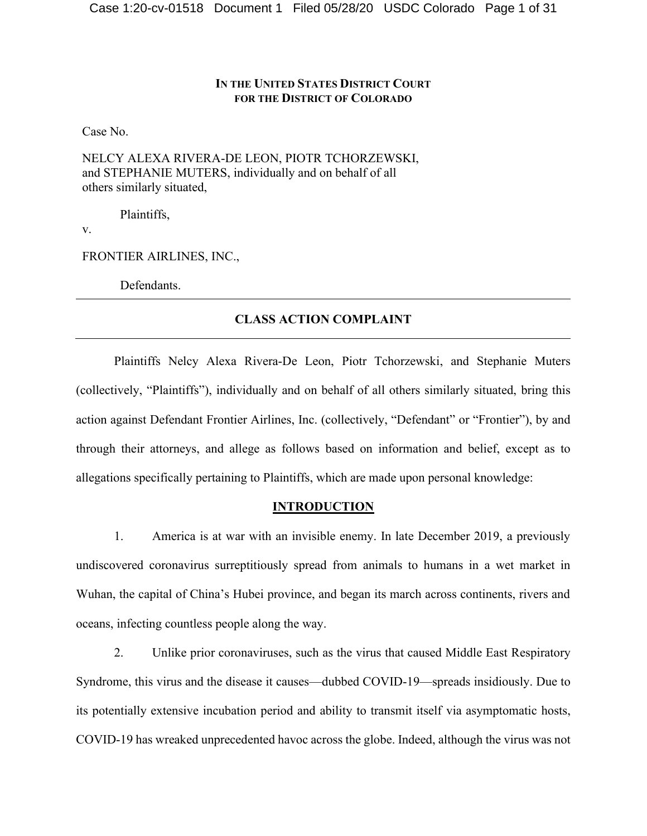## **IN THE UNITED STATES DISTRICT COURT FOR THE DISTRICT OF COLORADO**

Case No.

NELCY ALEXA RIVERA-DE LEON, PIOTR TCHORZEWSKI, and STEPHANIE MUTERS, individually and on behalf of all others similarly situated,

Plaintiffs,

v.

FRONTIER AIRLINES, INC.,

Defendants.

## **CLASS ACTION COMPLAINT**

Plaintiffs Nelcy Alexa Rivera-De Leon, Piotr Tchorzewski, and Stephanie Muters (collectively, "Plaintiffs"), individually and on behalf of all others similarly situated, bring this action against Defendant Frontier Airlines, Inc. (collectively, "Defendant" or "Frontier"), by and through their attorneys, and allege as follows based on information and belief, except as to allegations specifically pertaining to Plaintiffs, which are made upon personal knowledge:

#### **INTRODUCTION**

1. America is at war with an invisible enemy. In late December 2019, a previously undiscovered coronavirus surreptitiously spread from animals to humans in a wet market in Wuhan, the capital of China's Hubei province, and began its march across continents, rivers and oceans, infecting countless people along the way.

2. Unlike prior coronaviruses, such as the virus that caused Middle East Respiratory Syndrome, this virus and the disease it causes—dubbed COVID-19—spreads insidiously. Due to its potentially extensive incubation period and ability to transmit itself via asymptomatic hosts, COVID-19 has wreaked unprecedented havoc across the globe. Indeed, although the virus was not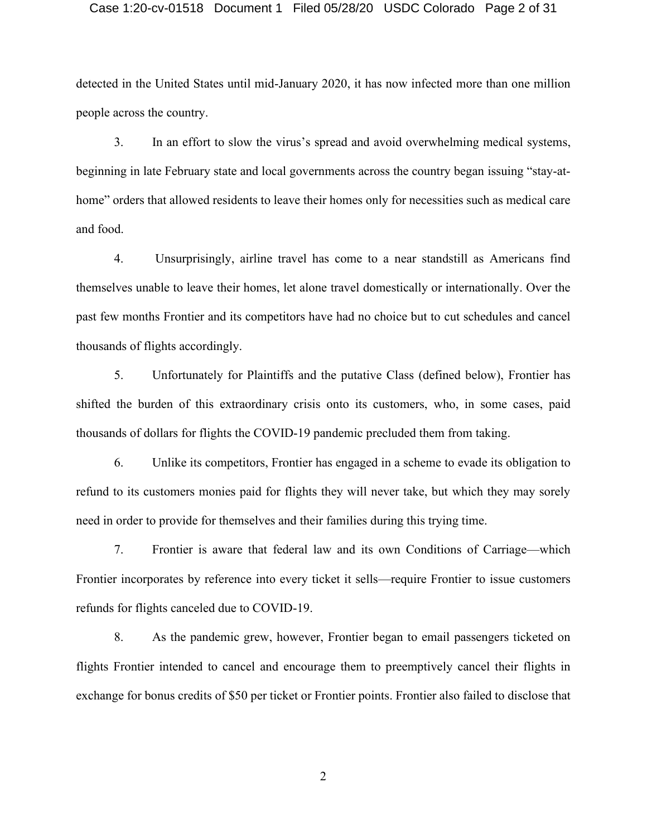#### Case 1:20-cv-01518 Document 1 Filed 05/28/20 USDC Colorado Page 2 of 31

detected in the United States until mid-January 2020, it has now infected more than one million people across the country.

3. In an effort to slow the virus's spread and avoid overwhelming medical systems, beginning in late February state and local governments across the country began issuing "stay-athome" orders that allowed residents to leave their homes only for necessities such as medical care and food.

4. Unsurprisingly, airline travel has come to a near standstill as Americans find themselves unable to leave their homes, let alone travel domestically or internationally. Over the past few months Frontier and its competitors have had no choice but to cut schedules and cancel thousands of flights accordingly.

5. Unfortunately for Plaintiffs and the putative Class (defined below), Frontier has shifted the burden of this extraordinary crisis onto its customers, who, in some cases, paid thousands of dollars for flights the COVID-19 pandemic precluded them from taking.

6. Unlike its competitors, Frontier has engaged in a scheme to evade its obligation to refund to its customers monies paid for flights they will never take, but which they may sorely need in order to provide for themselves and their families during this trying time.

7. Frontier is aware that federal law and its own Conditions of Carriage—which Frontier incorporates by reference into every ticket it sells—require Frontier to issue customers refunds for flights canceled due to COVID-19.

8. As the pandemic grew, however, Frontier began to email passengers ticketed on flights Frontier intended to cancel and encourage them to preemptively cancel their flights in exchange for bonus credits of \$50 per ticket or Frontier points. Frontier also failed to disclose that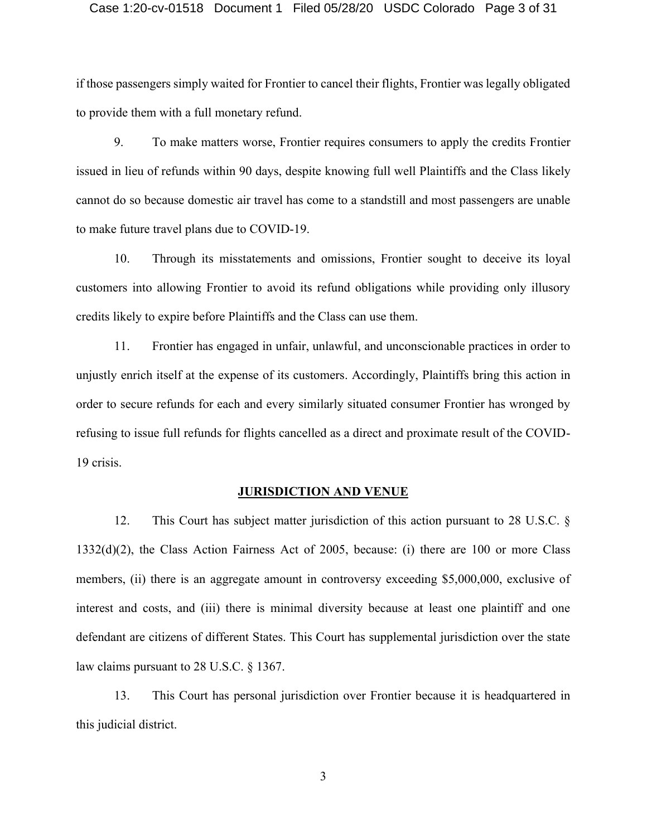#### Case 1:20-cv-01518 Document 1 Filed 05/28/20 USDC Colorado Page 3 of 31

if those passengers simply waited for Frontier to cancel their flights, Frontier was legally obligated to provide them with a full monetary refund.

9. To make matters worse, Frontier requires consumers to apply the credits Frontier issued in lieu of refunds within 90 days, despite knowing full well Plaintiffs and the Class likely cannot do so because domestic air travel has come to a standstill and most passengers are unable to make future travel plans due to COVID-19.

10. Through its misstatements and omissions, Frontier sought to deceive its loyal customers into allowing Frontier to avoid its refund obligations while providing only illusory credits likely to expire before Plaintiffs and the Class can use them.

11. Frontier has engaged in unfair, unlawful, and unconscionable practices in order to unjustly enrich itself at the expense of its customers. Accordingly, Plaintiffs bring this action in order to secure refunds for each and every similarly situated consumer Frontier has wronged by refusing to issue full refunds for flights cancelled as a direct and proximate result of the COVID-19 crisis.

## **JURISDICTION AND VENUE**

12. This Court has subject matter jurisdiction of this action pursuant to 28 U.S.C. § 1332(d)(2), the Class Action Fairness Act of 2005, because: (i) there are 100 or more Class members, (ii) there is an aggregate amount in controversy exceeding \$5,000,000, exclusive of interest and costs, and (iii) there is minimal diversity because at least one plaintiff and one defendant are citizens of different States. This Court has supplemental jurisdiction over the state law claims pursuant to 28 U.S.C. § 1367.

13. This Court has personal jurisdiction over Frontier because it is headquartered in this judicial district.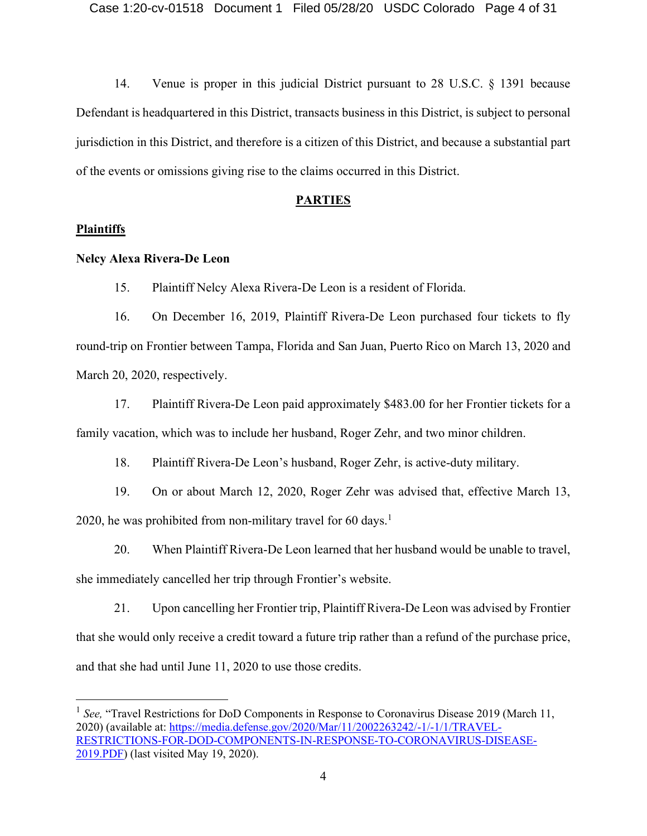14. Venue is proper in this judicial District pursuant to 28 U.S.C. § 1391 because Defendant is headquartered in this District, transacts business in this District, is subject to personal jurisdiction in this District, and therefore is a citizen of this District, and because a substantial part of the events or omissions giving rise to the claims occurred in this District.

#### **PARTIES**

## **Plaintiffs**

#### **Nelcy Alexa Rivera-De Leon**

15. Plaintiff Nelcy Alexa Rivera-De Leon is a resident of Florida.

16. On December 16, 2019, Plaintiff Rivera-De Leon purchased four tickets to fly round-trip on Frontier between Tampa, Florida and San Juan, Puerto Rico on March 13, 2020 and March 20, 2020, respectively.

17. Plaintiff Rivera-De Leon paid approximately \$483.00 for her Frontier tickets for a family vacation, which was to include her husband, Roger Zehr, and two minor children.

18. Plaintiff Rivera-De Leon's husband, Roger Zehr, is active-duty military.

19. On or about March 12, 2020, Roger Zehr was advised that, effective March 13, 2020, he was prohibited from non-military travel for 60 days.<sup>1</sup>

20. When Plaintiff Rivera-De Leon learned that her husband would be unable to travel, she immediately cancelled her trip through Frontier's website.

21. Upon cancelling her Frontier trip, Plaintiff Rivera-De Leon was advised by Frontier that she would only receive a credit toward a future trip rather than a refund of the purchase price, and that she had until June 11, 2020 to use those credits.

<sup>&</sup>lt;sup>1</sup> See, "Travel Restrictions for DoD Components in Response to Coronavirus Disease 2019 (March 11, 2020) (available at: [https://media.defense.gov/2020/Mar/11/2002263242/-1/-1/1/TRAVEL-](https://media.defense.gov/2020/Mar/11/2002263242/-1/-1/1/TRAVEL-RESTRICTIONS-FOR-DOD-COMPONENTS-IN-RESPONSE-TO-CORONAVIRUS-DISEASE-2019.PDF)[RESTRICTIONS-FOR-DOD-COMPONENTS-IN-RESPONSE-TO-CORONAVIRUS-DISEASE-](https://media.defense.gov/2020/Mar/11/2002263242/-1/-1/1/TRAVEL-RESTRICTIONS-FOR-DOD-COMPONENTS-IN-RESPONSE-TO-CORONAVIRUS-DISEASE-2019.PDF)[2019.PDF\)](https://media.defense.gov/2020/Mar/11/2002263242/-1/-1/1/TRAVEL-RESTRICTIONS-FOR-DOD-COMPONENTS-IN-RESPONSE-TO-CORONAVIRUS-DISEASE-2019.PDF) (last visited May 19, 2020).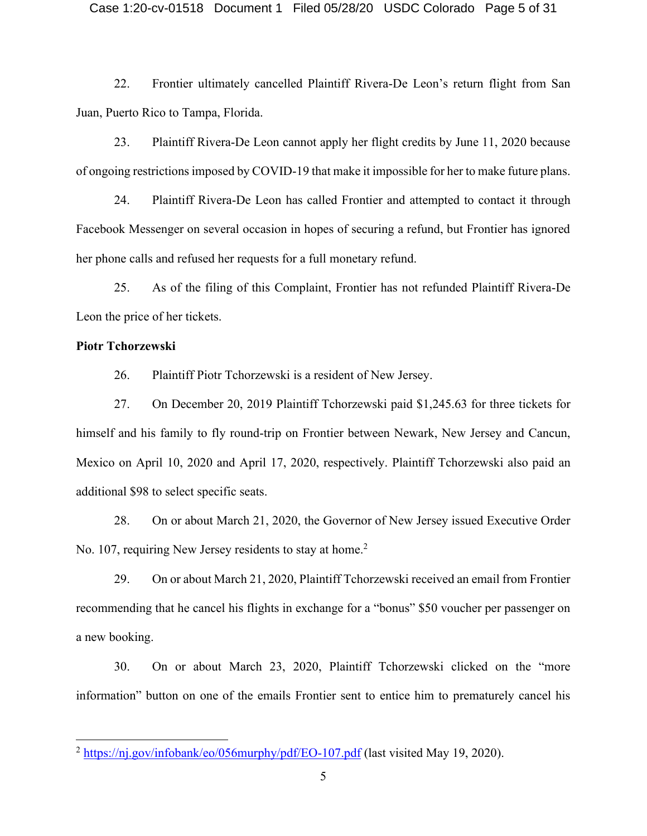22. Frontier ultimately cancelled Plaintiff Rivera-De Leon's return flight from San Juan, Puerto Rico to Tampa, Florida.

23. Plaintiff Rivera-De Leon cannot apply her flight credits by June 11, 2020 because of ongoing restrictions imposed by COVID-19 that make it impossible for her to make future plans.

24. Plaintiff Rivera-De Leon has called Frontier and attempted to contact it through Facebook Messenger on several occasion in hopes of securing a refund, but Frontier has ignored her phone calls and refused her requests for a full monetary refund.

25. As of the filing of this Complaint, Frontier has not refunded Plaintiff Rivera-De Leon the price of her tickets.

#### **Piotr Tchorzewski**

26. Plaintiff Piotr Tchorzewski is a resident of New Jersey.

27. On December 20, 2019 Plaintiff Tchorzewski paid \$1,245.63 for three tickets for himself and his family to fly round-trip on Frontier between Newark, New Jersey and Cancun, Mexico on April 10, 2020 and April 17, 2020, respectively. Plaintiff Tchorzewski also paid an additional \$98 to select specific seats.

28. On or about March 21, 2020, the Governor of New Jersey issued Executive Order No. 107, requiring New Jersey residents to stay at home.<sup>2</sup>

29. On or about March 21, 2020, Plaintiff Tchorzewski received an email from Frontier recommending that he cancel his flights in exchange for a "bonus" \$50 voucher per passenger on a new booking.

30. On or about March 23, 2020, Plaintiff Tchorzewski clicked on the "more information" button on one of the emails Frontier sent to entice him to prematurely cancel his

 $^2$  <https://nj.gov/infobank/eo/056murphy/pdf/EO-107.pdf> (last visited May 19, 2020).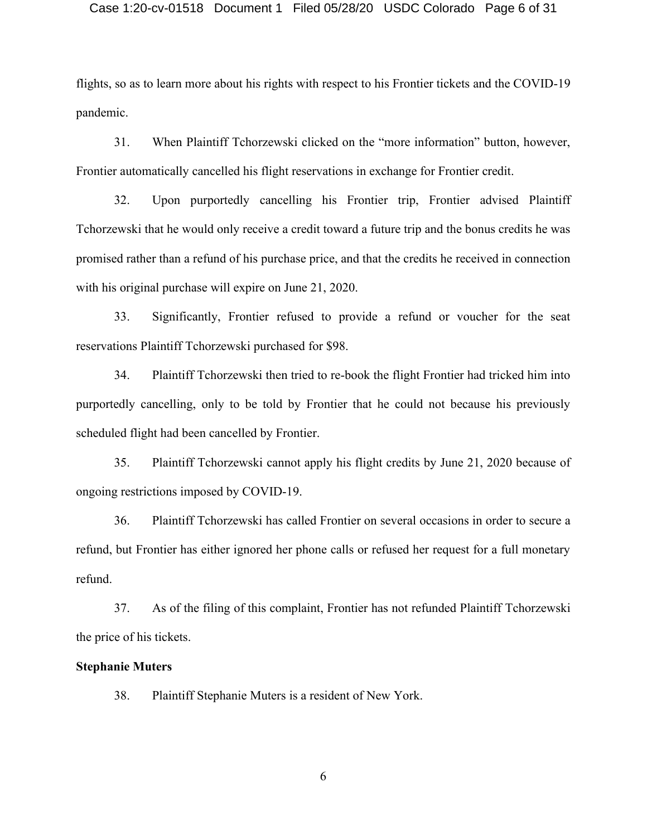#### Case 1:20-cv-01518 Document 1 Filed 05/28/20 USDC Colorado Page 6 of 31

flights, so as to learn more about his rights with respect to his Frontier tickets and the COVID-19 pandemic.

31. When Plaintiff Tchorzewski clicked on the "more information" button, however, Frontier automatically cancelled his flight reservations in exchange for Frontier credit.

32. Upon purportedly cancelling his Frontier trip, Frontier advised Plaintiff Tchorzewski that he would only receive a credit toward a future trip and the bonus credits he was promised rather than a refund of his purchase price, and that the credits he received in connection with his original purchase will expire on June 21, 2020.

33. Significantly, Frontier refused to provide a refund or voucher for the seat reservations Plaintiff Tchorzewski purchased for \$98.

34. Plaintiff Tchorzewski then tried to re-book the flight Frontier had tricked him into purportedly cancelling, only to be told by Frontier that he could not because his previously scheduled flight had been cancelled by Frontier.

35. Plaintiff Tchorzewski cannot apply his flight credits by June 21, 2020 because of ongoing restrictions imposed by COVID-19.

36. Plaintiff Tchorzewski has called Frontier on several occasions in order to secure a refund, but Frontier has either ignored her phone calls or refused her request for a full monetary refund.

37. As of the filing of this complaint, Frontier has not refunded Plaintiff Tchorzewski the price of his tickets.

#### **Stephanie Muters**

38. Plaintiff Stephanie Muters is a resident of New York.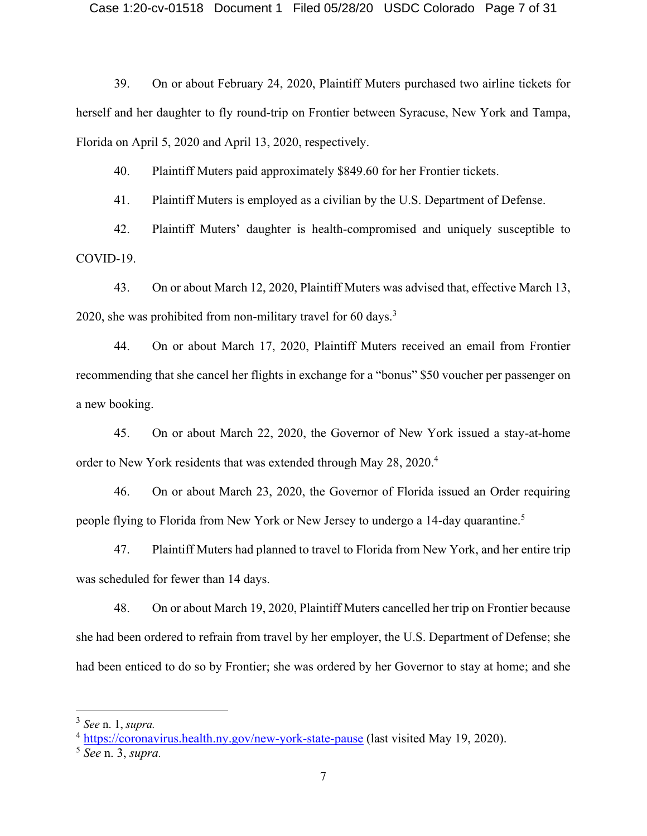39. On or about February 24, 2020, Plaintiff Muters purchased two airline tickets for herself and her daughter to fly round-trip on Frontier between Syracuse, New York and Tampa, Florida on April 5, 2020 and April 13, 2020, respectively.

40. Plaintiff Muters paid approximately \$849.60 for her Frontier tickets.

41. Plaintiff Muters is employed as a civilian by the U.S. Department of Defense.

42. Plaintiff Muters' daughter is health-compromised and uniquely susceptible to COVID-19.

43. On or about March 12, 2020, Plaintiff Muters was advised that, effective March 13, 2020, she was prohibited from non-military travel for 60 days.<sup>3</sup>

44. On or about March 17, 2020, Plaintiff Muters received an email from Frontier recommending that she cancel her flights in exchange for a "bonus" \$50 voucher per passenger on a new booking.

45. On or about March 22, 2020, the Governor of New York issued a stay-at-home order to New York residents that was extended through May 28, 2020. 4

46. On or about March 23, 2020, the Governor of Florida issued an Order requiring people flying to Florida from New York or New Jersey to undergo a 14-day quarantine.<sup>5</sup>

47. Plaintiff Muters had planned to travel to Florida from New York, and her entire trip was scheduled for fewer than 14 days.

48. On or about March 19, 2020, Plaintiff Muters cancelled her trip on Frontier because she had been ordered to refrain from travel by her employer, the U.S. Department of Defense; she had been enticed to do so by Frontier; she was ordered by her Governor to stay at home; and she

<sup>3</sup> *See* n. 1, *supra.*

<sup>4</sup> <https://coronavirus.health.ny.gov/new-york-state-pause> (last visited May 19, 2020).

<sup>5</sup> *See* n. 3, *supra.*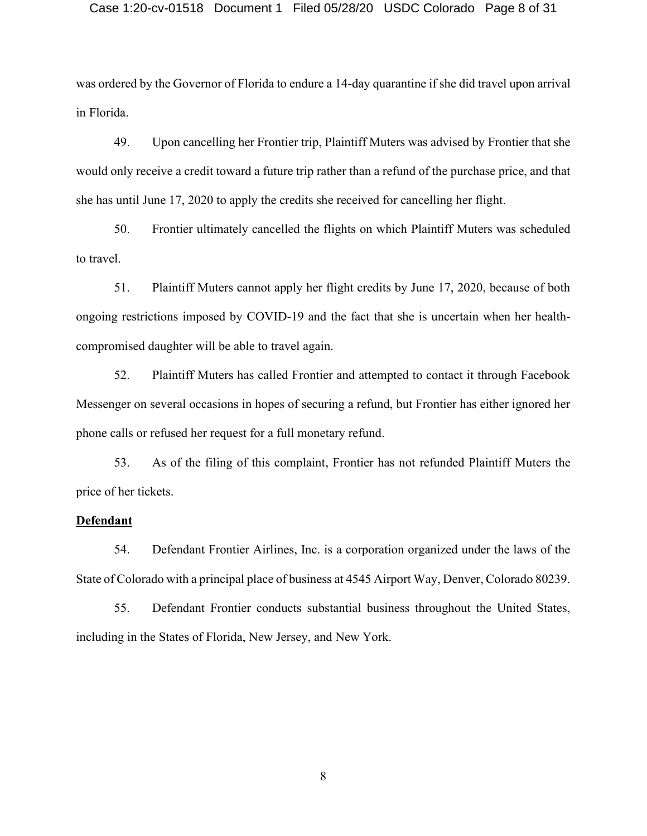#### Case 1:20-cv-01518 Document 1 Filed 05/28/20 USDC Colorado Page 8 of 31

was ordered by the Governor of Florida to endure a 14-day quarantine if she did travel upon arrival in Florida.

49. Upon cancelling her Frontier trip, Plaintiff Muters was advised by Frontier that she would only receive a credit toward a future trip rather than a refund of the purchase price, and that she has until June 17, 2020 to apply the credits she received for cancelling her flight.

50. Frontier ultimately cancelled the flights on which Plaintiff Muters was scheduled to travel.

51. Plaintiff Muters cannot apply her flight credits by June 17, 2020, because of both ongoing restrictions imposed by COVID-19 and the fact that she is uncertain when her healthcompromised daughter will be able to travel again.

52. Plaintiff Muters has called Frontier and attempted to contact it through Facebook Messenger on several occasions in hopes of securing a refund, but Frontier has either ignored her phone calls or refused her request for a full monetary refund.

53. As of the filing of this complaint, Frontier has not refunded Plaintiff Muters the price of her tickets.

#### **Defendant**

54. Defendant Frontier Airlines, Inc. is a corporation organized under the laws of the State of Colorado with a principal place of business at 4545 Airport Way, Denver, Colorado 80239.

55. Defendant Frontier conducts substantial business throughout the United States, including in the States of Florida, New Jersey, and New York.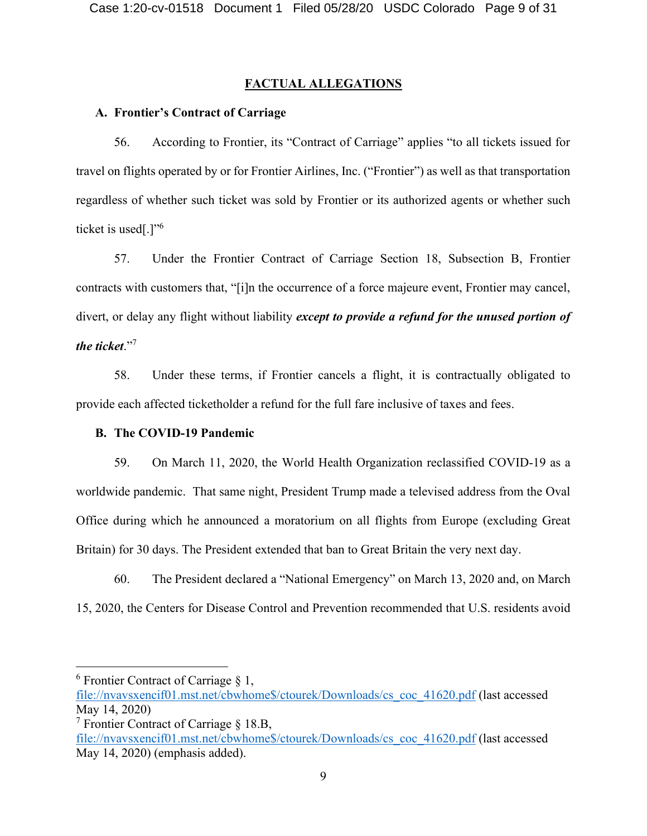## **FACTUAL ALLEGATIONS**

#### **A. Frontier's Contract of Carriage**

56. According to Frontier, its "Contract of Carriage" applies "to all tickets issued for travel on flights operated by or for Frontier Airlines, Inc. ("Frontier") as well as that transportation regardless of whether such ticket was sold by Frontier or its authorized agents or whether such ticket is used[.]"<sup>6</sup>

57. Under the Frontier Contract of Carriage Section 18, Subsection B, Frontier contracts with customers that, "[i]n the occurrence of a force majeure event, Frontier may cancel, divert, or delay any flight without liability *except to provide a refund for the unused portion of the ticket*."<sup>7</sup>

58. Under these terms, if Frontier cancels a flight, it is contractually obligated to provide each affected ticketholder a refund for the full fare inclusive of taxes and fees.

#### **B. The COVID-19 Pandemic**

59. On March 11, 2020, the World Health Organization reclassified COVID-19 as a worldwide pandemic. That same night, President Trump made a televised address from the Oval Office during which he announced a moratorium on all flights from Europe (excluding Great Britain) for 30 days. The President extended that ban to Great Britain the very next day.

60. The President declared a "National Emergency" on March 13, 2020 and, on March 15, 2020, the Centers for Disease Control and Prevention recommended that U.S. residents avoid

 $6$  Frontier Contract of Carriage  $§$  1,

[file://nvavsxencif01.mst.net/cbwhome\\$/ctourek/Downloads/cs\\_coc\\_41620.pdf](file://///nvavsxencif01.mst.net/cbwhome$/ctourek/Downloads/cs_coc_41620.pdf) (last accessed May 14, 2020)

<sup>&</sup>lt;sup>7</sup> Frontier Contract of Carriage  $\S$  18.B,

[file://nvavsxencif01.mst.net/cbwhome\\$/ctourek/Downloads/cs\\_coc\\_41620.pdf](file://///nvavsxencif01.mst.net/cbwhome$/ctourek/Downloads/cs_coc_41620.pdf) (last accessed May 14, 2020) (emphasis added).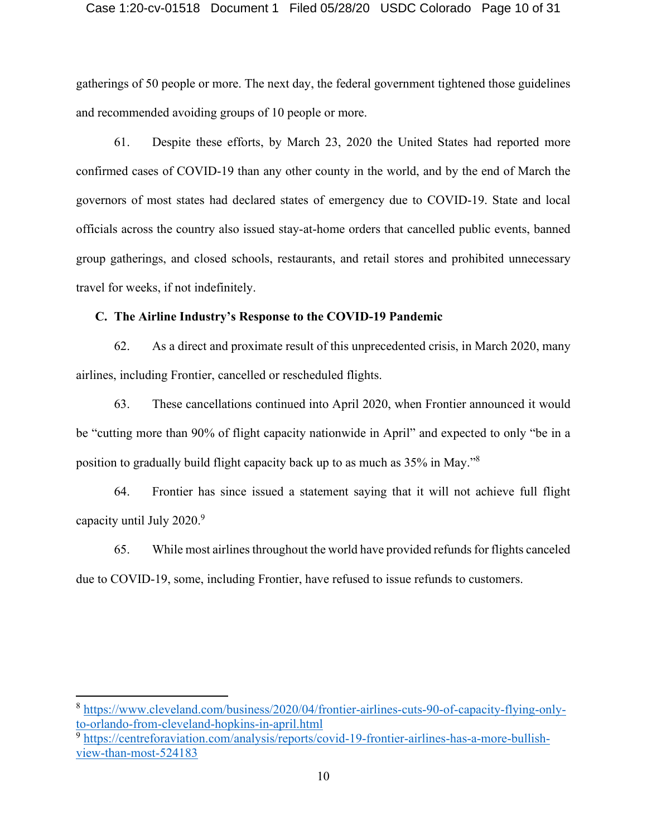#### Case 1:20-cv-01518 Document 1 Filed 05/28/20 USDC Colorado Page 10 of 31

gatherings of 50 people or more. The next day, the federal government tightened those guidelines and recommended avoiding groups of 10 people or more.

61. Despite these efforts, by March 23, 2020 the United States had reported more confirmed cases of COVID-19 than any other county in the world, and by the end of March the governors of most states had declared states of emergency due to COVID-19. State and local officials across the country also issued stay-at-home orders that cancelled public events, banned group gatherings, and closed schools, restaurants, and retail stores and prohibited unnecessary travel for weeks, if not indefinitely.

#### **C. The Airline Industry's Response to the COVID-19 Pandemic**

62. As a direct and proximate result of this unprecedented crisis, in March 2020, many airlines, including Frontier, cancelled or rescheduled flights.

63. These cancellations continued into April 2020, when Frontier announced it would be "cutting more than 90% of flight capacity nationwide in April" and expected to only "be in a position to gradually build flight capacity back up to as much as 35% in May."<sup>8</sup>

64. Frontier has since issued a statement saying that it will not achieve full flight capacity until July 2020.<sup>9</sup>

65. While most airlines throughout the world have provided refunds for flights canceled due to COVID-19, some, including Frontier, have refused to issue refunds to customers.

<sup>8</sup> [https://www.cleveland.com/business/2020/04/frontier-airlines-cuts-90-of-capacity-flying-only](https://www.cleveland.com/business/2020/04/frontier-airlines-cuts-90-of-capacity-flying-only-to-orlando-from-cleveland-hopkins-in-april.html)[to-orlando-from-cleveland-hopkins-in-april.html](https://www.cleveland.com/business/2020/04/frontier-airlines-cuts-90-of-capacity-flying-only-to-orlando-from-cleveland-hopkins-in-april.html)

<sup>&</sup>lt;sup>9</sup> [https://centreforaviation.com/analysis/reports/covid-19-frontier-airlines-has-a-more-bullish](https://centreforaviation.com/analysis/reports/covid-19-frontier-airlines-has-a-more-bullish-view-than-most-524183)[view-than-most-524183](https://centreforaviation.com/analysis/reports/covid-19-frontier-airlines-has-a-more-bullish-view-than-most-524183)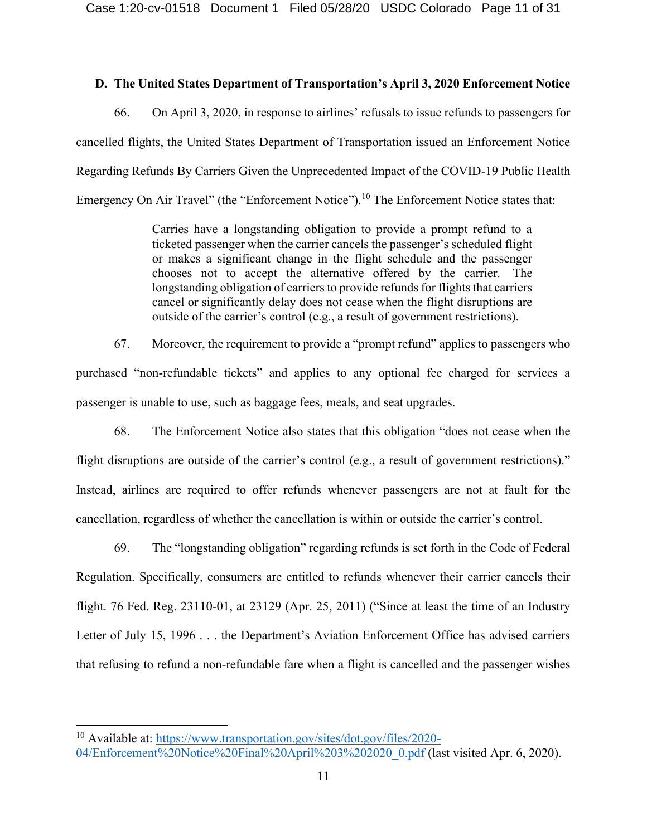# **D. The United States Department of Transportation's April 3, 2020 Enforcement Notice**

66. On April 3, 2020, in response to airlines' refusals to issue refunds to passengers for cancelled flights, the United States Department of Transportation issued an Enforcement Notice Regarding Refunds By Carriers Given the Unprecedented Impact of the COVID-19 Public Health Emergency On Air Travel" (the "Enforcement Notice").<sup>10</sup> The Enforcement Notice states that:

> Carries have a longstanding obligation to provide a prompt refund to a ticketed passenger when the carrier cancels the passenger's scheduled flight or makes a significant change in the flight schedule and the passenger chooses not to accept the alternative offered by the carrier. The longstanding obligation of carriers to provide refunds for flights that carriers cancel or significantly delay does not cease when the flight disruptions are outside of the carrier's control (e.g., a result of government restrictions).

67. Moreover, the requirement to provide a "prompt refund" applies to passengers who purchased "non-refundable tickets" and applies to any optional fee charged for services a passenger is unable to use, such as baggage fees, meals, and seat upgrades.

68. The Enforcement Notice also states that this obligation "does not cease when the flight disruptions are outside of the carrier's control (e.g., a result of government restrictions)." Instead, airlines are required to offer refunds whenever passengers are not at fault for the cancellation, regardless of whether the cancellation is within or outside the carrier's control.

69. The "longstanding obligation" regarding refunds is set forth in the Code of Federal Regulation. Specifically, consumers are entitled to refunds whenever their carrier cancels their flight. 76 Fed. Reg. 23110-01, at 23129 (Apr. 25, 2011) ("Since at least the time of an Industry Letter of July 15, 1996 . . . the Department's Aviation Enforcement Office has advised carriers that refusing to refund a non-refundable fare when a flight is cancelled and the passenger wishes

<sup>10</sup> Available at: [https://www.transportation.gov/sites/dot.gov/files/2020-](https://www.transportation.gov/sites/dot.gov/files/2020-04/Enforcement%20Notice%20Final%20April%203%202020_0.pdf) [04/Enforcement%20Notice%20Final%20April%203%202020\\_0.pdf](https://www.transportation.gov/sites/dot.gov/files/2020-04/Enforcement%20Notice%20Final%20April%203%202020_0.pdf) (last visited Apr. 6, 2020).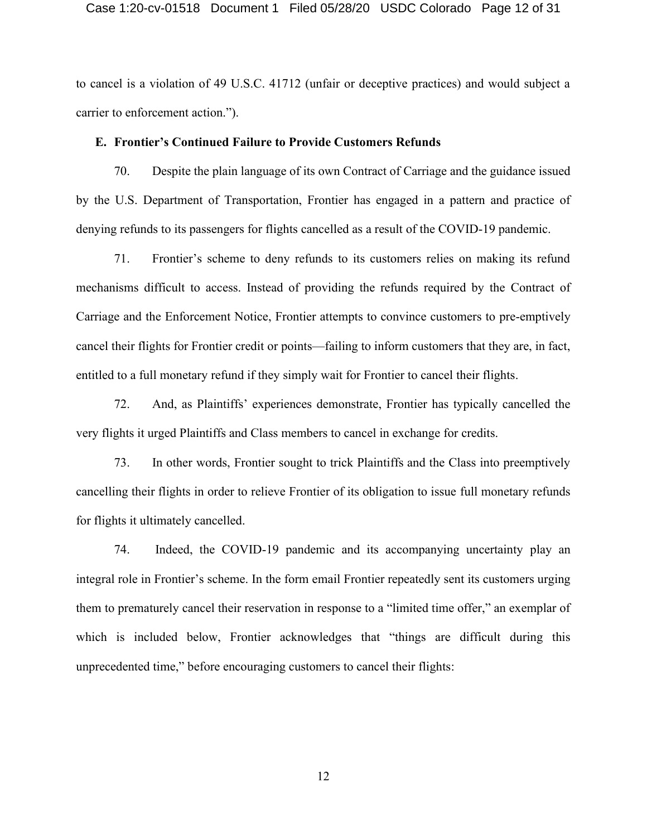#### Case 1:20-cv-01518 Document 1 Filed 05/28/20 USDC Colorado Page 12 of 31

to cancel is a violation of 49 U.S.C. 41712 (unfair or deceptive practices) and would subject a carrier to enforcement action.").

#### **E. Frontier's Continued Failure to Provide Customers Refunds**

70. Despite the plain language of its own Contract of Carriage and the guidance issued by the U.S. Department of Transportation, Frontier has engaged in a pattern and practice of denying refunds to its passengers for flights cancelled as a result of the COVID-19 pandemic.

71. Frontier's scheme to deny refunds to its customers relies on making its refund mechanisms difficult to access. Instead of providing the refunds required by the Contract of Carriage and the Enforcement Notice, Frontier attempts to convince customers to pre-emptively cancel their flights for Frontier credit or points—failing to inform customers that they are, in fact, entitled to a full monetary refund if they simply wait for Frontier to cancel their flights.

72. And, as Plaintiffs' experiences demonstrate, Frontier has typically cancelled the very flights it urged Plaintiffs and Class members to cancel in exchange for credits.

73. In other words, Frontier sought to trick Plaintiffs and the Class into preemptively cancelling their flights in order to relieve Frontier of its obligation to issue full monetary refunds for flights it ultimately cancelled.

74. Indeed, the COVID-19 pandemic and its accompanying uncertainty play an integral role in Frontier's scheme. In the form email Frontier repeatedly sent its customers urging them to prematurely cancel their reservation in response to a "limited time offer," an exemplar of which is included below, Frontier acknowledges that "things are difficult during this unprecedented time," before encouraging customers to cancel their flights: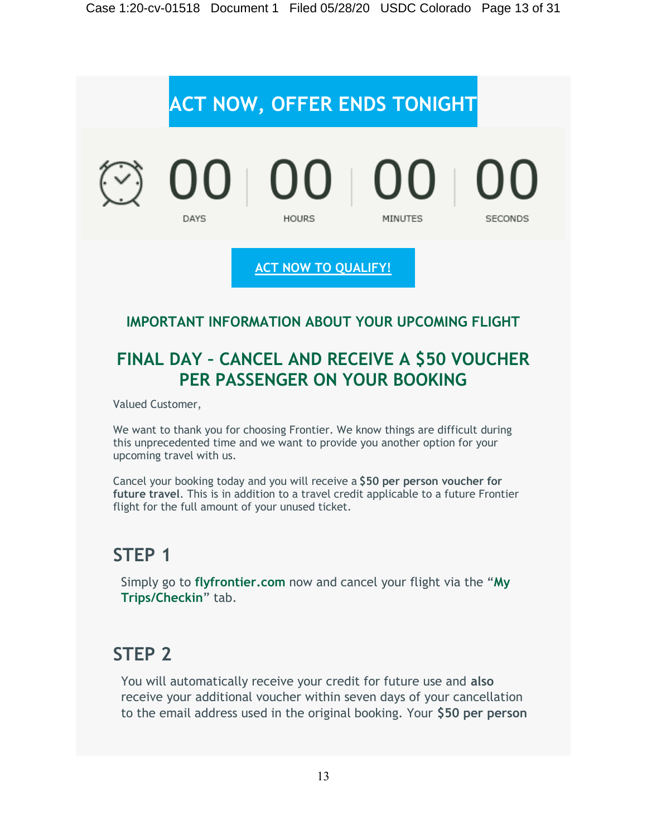

# **FINAL DAY – CANCEL AND RECEIVE A \$50 VOUCHER PER PASSENGER ON YOUR BOOKING**

Valued Customer,

We want to thank you for choosing Frontier. We know things are difficult during this unprecedented time and we want to provide you another option for your upcoming travel with us.

Cancel your booking today and you will receive a **\$50 per person voucher for future travel**. This is in addition to a travel credit applicable to a future Frontier flight for the full amount of your unused ticket.

# **STEP 1**

Simply go to **[flyfrontier.com](https://emails.flyfrontier.com/pub/cc?_ri_=X0Gzc2X%3DYQpglLjHJlTQGi1aCNzcBTD7hSDbHDFza0HzdIlosjBcdqrrX0d5nL9wKbKYzeB0Kwk5353VXtpKX%3DBRWBDBRT&_ei_=Eq2tf9zs59idfPO1Sc_9Bbm66tljp8zxzkTsk63lceilgN8fnBXIPR7JF-Rjwk3t8THkW9UhZkNDvuljLQari0.&_di_=h8m927aj2khnt05lpt4omp93ds42jbt0kk2tfl4p6r5bquad3r7g)** now and cancel your flight via the "**[My](https://emails.flyfrontier.com/pub/cc?_ri_=X0Gzc2X%3DYQpglLjHJlTQGi1aCNzcBTD7hSDbHDFza0HzdIlosjBcdqrrX0d5nL9wKbKYzeB0Kwk5353VXtpKX%3DBRWBDBRT&_ei_=Eq2tf9zs59idfPO1Sc_9Bbm66tljp8zxzkTsk63lceilgN8fnBXIPR7JF-Rjwk3t8THkW9UhZkNDvuljLQari0.&_di_=h8m927aj2khnt05lpt4omp93ds42jbt0kk2tfl4p6r5bquad3r7g)  [Trips/Checkin](https://emails.flyfrontier.com/pub/cc?_ri_=X0Gzc2X%3DYQpglLjHJlTQGi1aCNzcBTD7hSDbHDFza0HzdIlosjBcdqrrX0d5nL9wKbKYzeB0Kwk5353VXtpKX%3DBRWBDBRT&_ei_=Eq2tf9zs59idfPO1Sc_9Bbm66tljp8zxzkTsk63lceilgN8fnBXIPR7JF-Rjwk3t8THkW9UhZkNDvuljLQari0.&_di_=h8m927aj2khnt05lpt4omp93ds42jbt0kk2tfl4p6r5bquad3r7g)**" tab.

# **STEP 2**

You will automatically receive your credit for future use and **also** receive your additional voucher within seven days of your cancellation to the email address used in the original booking. Your **\$50 per person**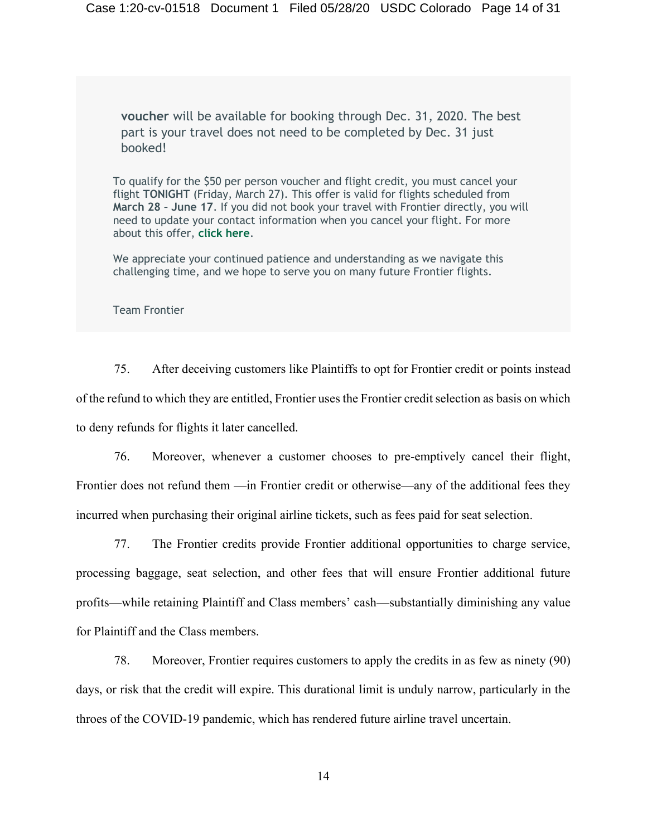**voucher** will be available for booking through Dec. 31, 2020. The best part is your travel does not need to be completed by Dec. 31 just booked!

To qualify for the \$50 per person voucher and flight credit, you must cancel your flight **TONIGHT** (Friday, March 27). This offer is valid for flights scheduled from **March 28 – June 17**. If you did not book your travel with Frontier directly, you will need to update your contact information when you cancel your flight. For more about this offer, **[click here](https://emails.flyfrontier.com/pub/cc?_ri_=X0Gzc2X%3DYQpglLjHJlTQGi1aCNzcBTD7hSDbHDFza0HzdIlosjBcdqrrX0d5nL9wKbKYzeB0Kwk5353VXtpKX%3DBRWBDSRT&_ei_=Eq2tf9zs59idfPO1Sc_9Bbm66tljp8zxzkTsk63lceilgN8fnBXIPR7JF-Rjwk3t8THkW9UhZkNDvuljLQari0.&_di_=ge1lqs65c7ncqfhk336e9pvk3p2jk6c5e7mef4et1fll9q8f8atg)**.

We appreciate your continued patience and understanding as we navigate this challenging time, and we hope to serve you on many future Frontier flights.

Team Frontier

75. After deceiving customers like Plaintiffs to opt for Frontier credit or points instead of the refund to which they are entitled, Frontier uses the Frontier credit selection as basis on which to deny refunds for flights it later cancelled.

76. Moreover, whenever a customer chooses to pre-emptively cancel their flight, Frontier does not refund them —in Frontier credit or otherwise—any of the additional fees they incurred when purchasing their original airline tickets, such as fees paid for seat selection.

77. The Frontier credits provide Frontier additional opportunities to charge service, processing baggage, seat selection, and other fees that will ensure Frontier additional future profits—while retaining Plaintiff and Class members' cash—substantially diminishing any value for Plaintiff and the Class members.

78. Moreover, Frontier requires customers to apply the credits in as few as ninety (90) days, or risk that the credit will expire. This durational limit is unduly narrow, particularly in the throes of the COVID-19 pandemic, which has rendered future airline travel uncertain.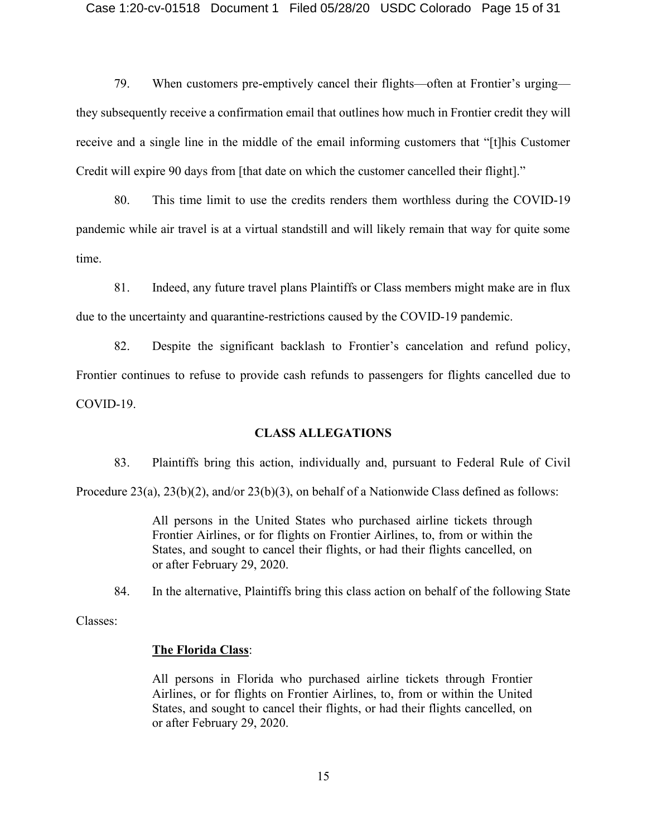79. When customers pre-emptively cancel their flights—often at Frontier's urging they subsequently receive a confirmation email that outlines how much in Frontier credit they will receive and a single line in the middle of the email informing customers that "[t]his Customer Credit will expire 90 days from [that date on which the customer cancelled their flight]."

80. This time limit to use the credits renders them worthless during the COVID-19 pandemic while air travel is at a virtual standstill and will likely remain that way for quite some time.

81. Indeed, any future travel plans Plaintiffs or Class members might make are in flux due to the uncertainty and quarantine-restrictions caused by the COVID-19 pandemic.

82. Despite the significant backlash to Frontier's cancelation and refund policy, Frontier continues to refuse to provide cash refunds to passengers for flights cancelled due to COVID-19.

#### **CLASS ALLEGATIONS**

83. Plaintiffs bring this action, individually and, pursuant to Federal Rule of Civil

Procedure 23(a), 23(b)(2), and/or 23(b)(3), on behalf of a Nationwide Class defined as follows:

All persons in the United States who purchased airline tickets through Frontier Airlines, or for flights on Frontier Airlines, to, from or within the States, and sought to cancel their flights, or had their flights cancelled, on or after February 29, 2020.

84. In the alternative, Plaintiffs bring this class action on behalf of the following State

Classes:

#### **The Florida Class**:

All persons in Florida who purchased airline tickets through Frontier Airlines, or for flights on Frontier Airlines, to, from or within the United States, and sought to cancel their flights, or had their flights cancelled, on or after February 29, 2020.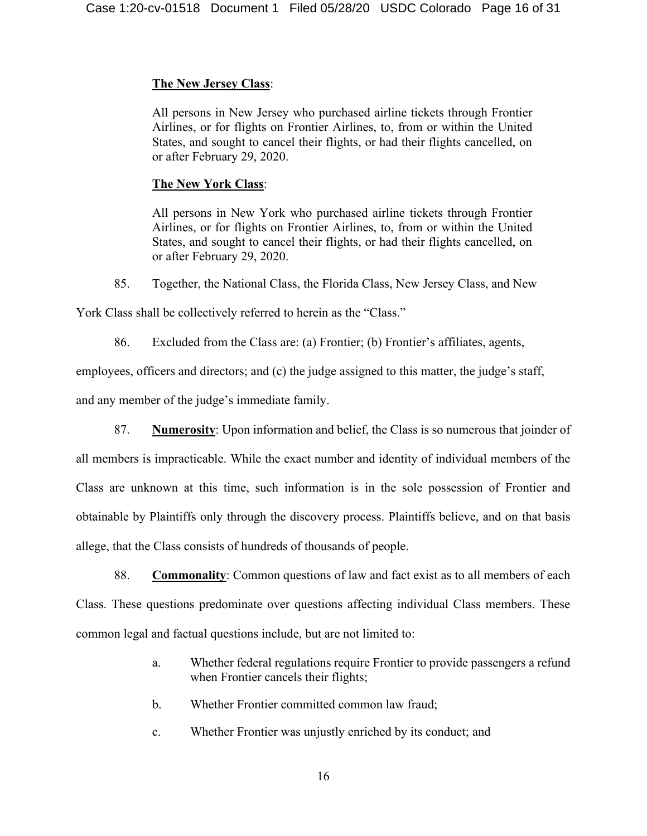# **The New Jersey Class**:

All persons in New Jersey who purchased airline tickets through Frontier Airlines, or for flights on Frontier Airlines, to, from or within the United States, and sought to cancel their flights, or had their flights cancelled, on or after February 29, 2020.

## **The New York Class**:

All persons in New York who purchased airline tickets through Frontier Airlines, or for flights on Frontier Airlines, to, from or within the United States, and sought to cancel their flights, or had their flights cancelled, on or after February 29, 2020.

85. Together, the National Class, the Florida Class, New Jersey Class, and New

York Class shall be collectively referred to herein as the "Class."

86. Excluded from the Class are: (a) Frontier; (b) Frontier's affiliates, agents,

employees, officers and directors; and (c) the judge assigned to this matter, the judge's staff,

and any member of the judge's immediate family.

87. **Numerosity**: Upon information and belief, the Class is so numerous that joinder of all members is impracticable. While the exact number and identity of individual members of the Class are unknown at this time, such information is in the sole possession of Frontier and obtainable by Plaintiffs only through the discovery process. Plaintiffs believe, and on that basis allege, that the Class consists of hundreds of thousands of people.

88. **Commonality**: Common questions of law and fact exist as to all members of each Class. These questions predominate over questions affecting individual Class members. These common legal and factual questions include, but are not limited to:

- a. Whether federal regulations require Frontier to provide passengers a refund when Frontier cancels their flights;
- b. Whether Frontier committed common law fraud;
- c. Whether Frontier was unjustly enriched by its conduct; and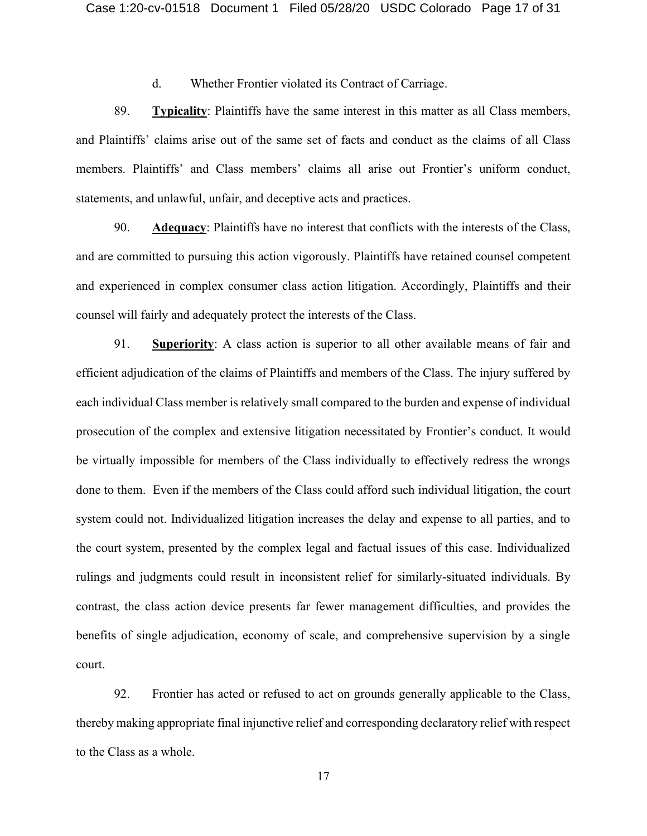d. Whether Frontier violated its Contract of Carriage.

89. **Typicality**: Plaintiffs have the same interest in this matter as all Class members, and Plaintiffs' claims arise out of the same set of facts and conduct as the claims of all Class members. Plaintiffs' and Class members' claims all arise out Frontier's uniform conduct, statements, and unlawful, unfair, and deceptive acts and practices.

90. **Adequacy**: Plaintiffs have no interest that conflicts with the interests of the Class, and are committed to pursuing this action vigorously. Plaintiffs have retained counsel competent and experienced in complex consumer class action litigation. Accordingly, Plaintiffs and their counsel will fairly and adequately protect the interests of the Class.

91. **Superiority**: A class action is superior to all other available means of fair and efficient adjudication of the claims of Plaintiffs and members of the Class. The injury suffered by each individual Class member is relatively small compared to the burden and expense of individual prosecution of the complex and extensive litigation necessitated by Frontier's conduct. It would be virtually impossible for members of the Class individually to effectively redress the wrongs done to them. Even if the members of the Class could afford such individual litigation, the court system could not. Individualized litigation increases the delay and expense to all parties, and to the court system, presented by the complex legal and factual issues of this case. Individualized rulings and judgments could result in inconsistent relief for similarly-situated individuals. By contrast, the class action device presents far fewer management difficulties, and provides the benefits of single adjudication, economy of scale, and comprehensive supervision by a single court.

92. Frontier has acted or refused to act on grounds generally applicable to the Class, thereby making appropriate final injunctive relief and corresponding declaratory relief with respect to the Class as a whole.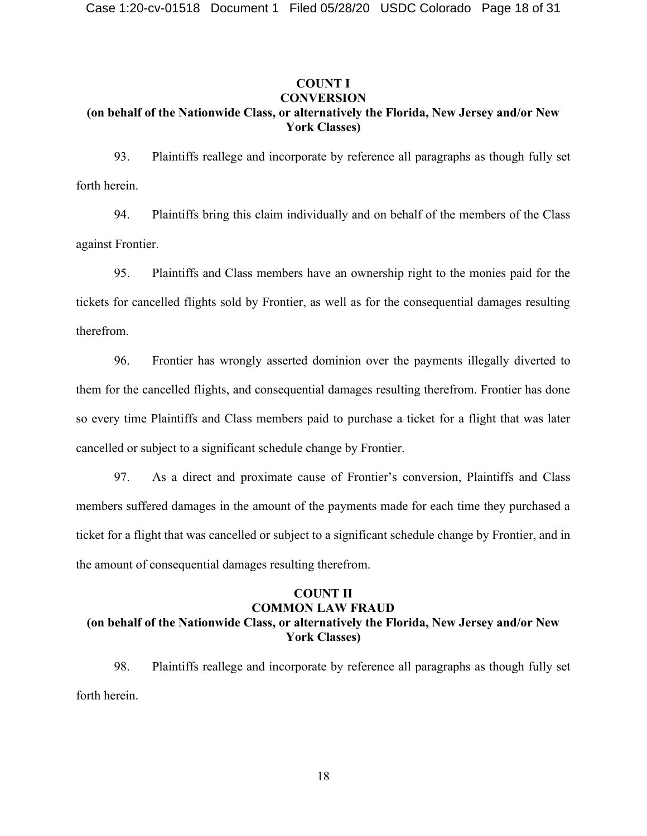## **COUNT I CONVERSION (on behalf of the Nationwide Class, or alternatively the Florida, New Jersey and/or New York Classes)**

93. Plaintiffs reallege and incorporate by reference all paragraphs as though fully set forth herein.

94. Plaintiffs bring this claim individually and on behalf of the members of the Class against Frontier.

95. Plaintiffs and Class members have an ownership right to the monies paid for the tickets for cancelled flights sold by Frontier, as well as for the consequential damages resulting therefrom.

96. Frontier has wrongly asserted dominion over the payments illegally diverted to them for the cancelled flights, and consequential damages resulting therefrom. Frontier has done so every time Plaintiffs and Class members paid to purchase a ticket for a flight that was later cancelled or subject to a significant schedule change by Frontier.

97. As a direct and proximate cause of Frontier's conversion, Plaintiffs and Class members suffered damages in the amount of the payments made for each time they purchased a ticket for a flight that was cancelled or subject to a significant schedule change by Frontier, and in the amount of consequential damages resulting therefrom.

## **COUNT II COMMON LAW FRAUD (on behalf of the Nationwide Class, or alternatively the Florida, New Jersey and/or New York Classes)**

98. Plaintiffs reallege and incorporate by reference all paragraphs as though fully set forth herein.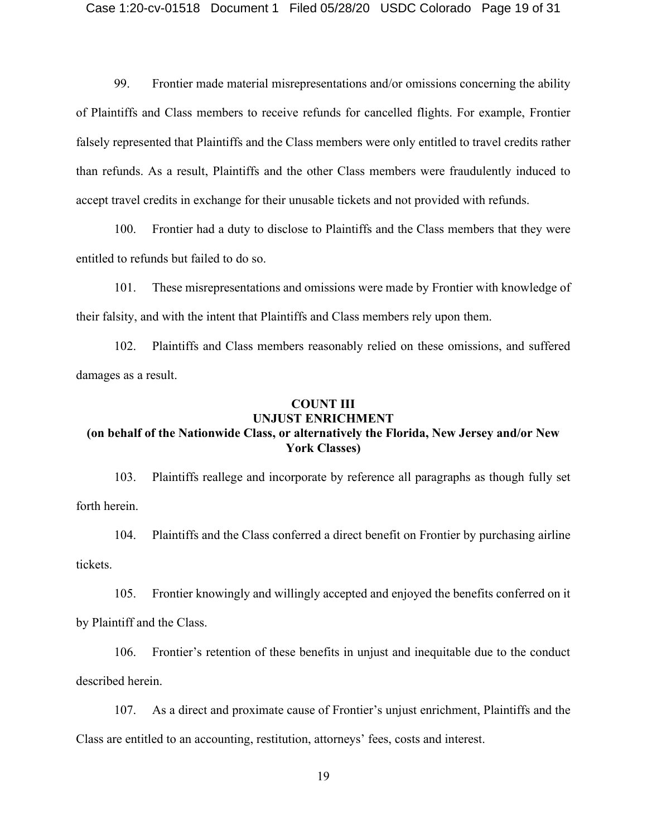99. Frontier made material misrepresentations and/or omissions concerning the ability of Plaintiffs and Class members to receive refunds for cancelled flights. For example, Frontier falsely represented that Plaintiffs and the Class members were only entitled to travel credits rather than refunds. As a result, Plaintiffs and the other Class members were fraudulently induced to accept travel credits in exchange for their unusable tickets and not provided with refunds.

100. Frontier had a duty to disclose to Plaintiffs and the Class members that they were entitled to refunds but failed to do so.

101. These misrepresentations and omissions were made by Frontier with knowledge of their falsity, and with the intent that Plaintiffs and Class members rely upon them.

102. Plaintiffs and Class members reasonably relied on these omissions, and suffered damages as a result.

#### **COUNT III UNJUST ENRICHMENT**

## **(on behalf of the Nationwide Class, or alternatively the Florida, New Jersey and/or New York Classes)**

103. Plaintiffs reallege and incorporate by reference all paragraphs as though fully set forth herein.

104. Plaintiffs and the Class conferred a direct benefit on Frontier by purchasing airline tickets.

105. Frontier knowingly and willingly accepted and enjoyed the benefits conferred on it by Plaintiff and the Class.

106. Frontier's retention of these benefits in unjust and inequitable due to the conduct described herein.

107. As a direct and proximate cause of Frontier's unjust enrichment, Plaintiffs and the Class are entitled to an accounting, restitution, attorneys' fees, costs and interest.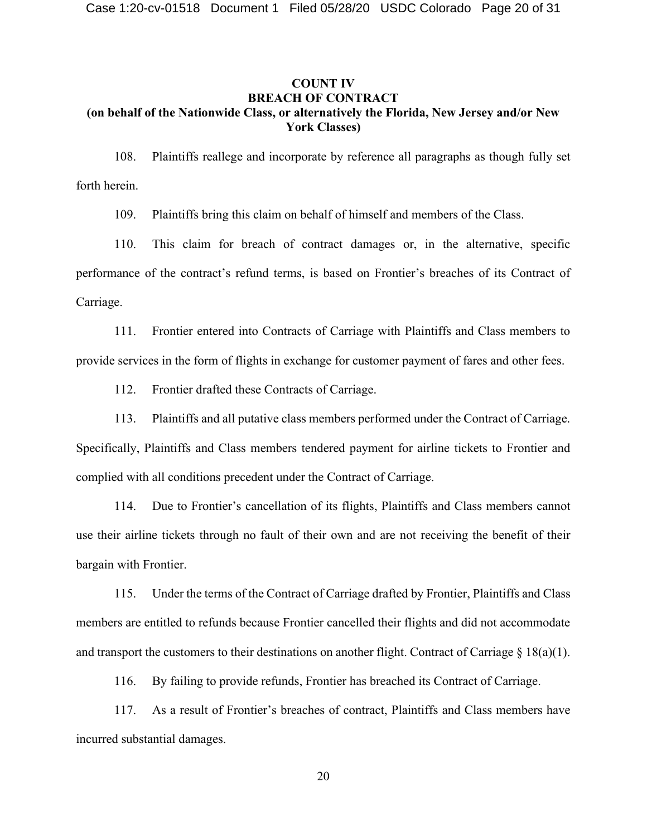## **COUNT IV BREACH OF CONTRACT (on behalf of the Nationwide Class, or alternatively the Florida, New Jersey and/or New York Classes)**

108. Plaintiffs reallege and incorporate by reference all paragraphs as though fully set forth herein.

109. Plaintiffs bring this claim on behalf of himself and members of the Class.

110. This claim for breach of contract damages or, in the alternative, specific performance of the contract's refund terms, is based on Frontier's breaches of its Contract of Carriage.

111. Frontier entered into Contracts of Carriage with Plaintiffs and Class members to provide services in the form of flights in exchange for customer payment of fares and other fees.

112. Frontier drafted these Contracts of Carriage.

113. Plaintiffs and all putative class members performed under the Contract of Carriage. Specifically, Plaintiffs and Class members tendered payment for airline tickets to Frontier and complied with all conditions precedent under the Contract of Carriage.

114. Due to Frontier's cancellation of its flights, Plaintiffs and Class members cannot use their airline tickets through no fault of their own and are not receiving the benefit of their bargain with Frontier.

115. Under the terms of the Contract of Carriage drafted by Frontier, Plaintiffs and Class members are entitled to refunds because Frontier cancelled their flights and did not accommodate and transport the customers to their destinations on another flight. Contract of Carriage  $\S$  18(a)(1).

116. By failing to provide refunds, Frontier has breached its Contract of Carriage.

117. As a result of Frontier's breaches of contract, Plaintiffs and Class members have incurred substantial damages.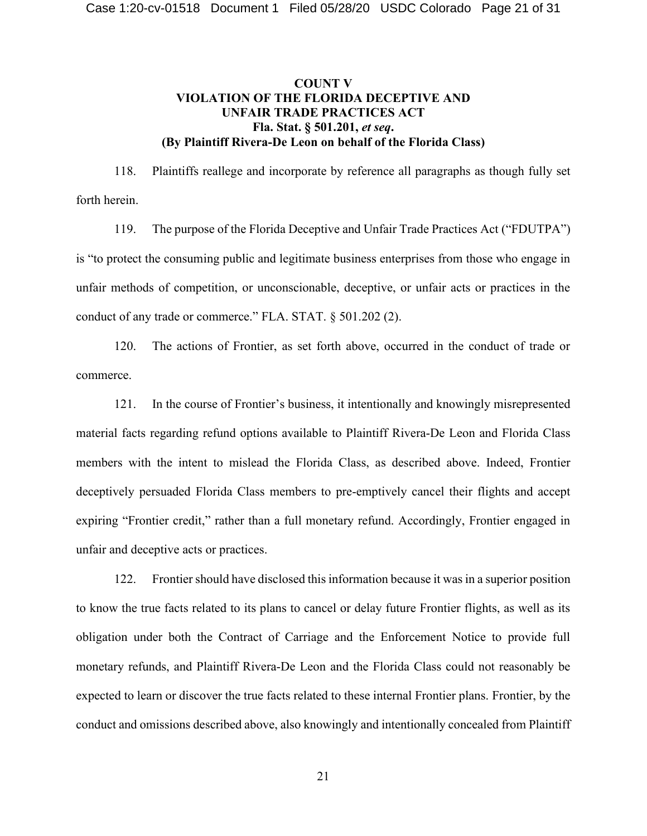## **COUNT V VIOLATION OF THE FLORIDA DECEPTIVE AND UNFAIR TRADE PRACTICES ACT Fla. Stat. § 501.201,** *et seq***. (By Plaintiff Rivera-De Leon on behalf of the Florida Class)**

118. Plaintiffs reallege and incorporate by reference all paragraphs as though fully set forth herein.

119. The purpose of the Florida Deceptive and Unfair Trade Practices Act ("FDUTPA") is "to protect the consuming public and legitimate business enterprises from those who engage in unfair methods of competition, or unconscionable, deceptive, or unfair acts or practices in the conduct of any trade or commerce." FLA. STAT. § 501.202 (2).

120. The actions of Frontier, as set forth above, occurred in the conduct of trade or commerce.

121. In the course of Frontier's business, it intentionally and knowingly misrepresented material facts regarding refund options available to Plaintiff Rivera-De Leon and Florida Class members with the intent to mislead the Florida Class, as described above. Indeed, Frontier deceptively persuaded Florida Class members to pre-emptively cancel their flights and accept expiring "Frontier credit," rather than a full monetary refund. Accordingly, Frontier engaged in unfair and deceptive acts or practices.

122. Frontier should have disclosed this information because it was in a superior position to know the true facts related to its plans to cancel or delay future Frontier flights, as well as its obligation under both the Contract of Carriage and the Enforcement Notice to provide full monetary refunds, and Plaintiff Rivera-De Leon and the Florida Class could not reasonably be expected to learn or discover the true facts related to these internal Frontier plans. Frontier, by the conduct and omissions described above, also knowingly and intentionally concealed from Plaintiff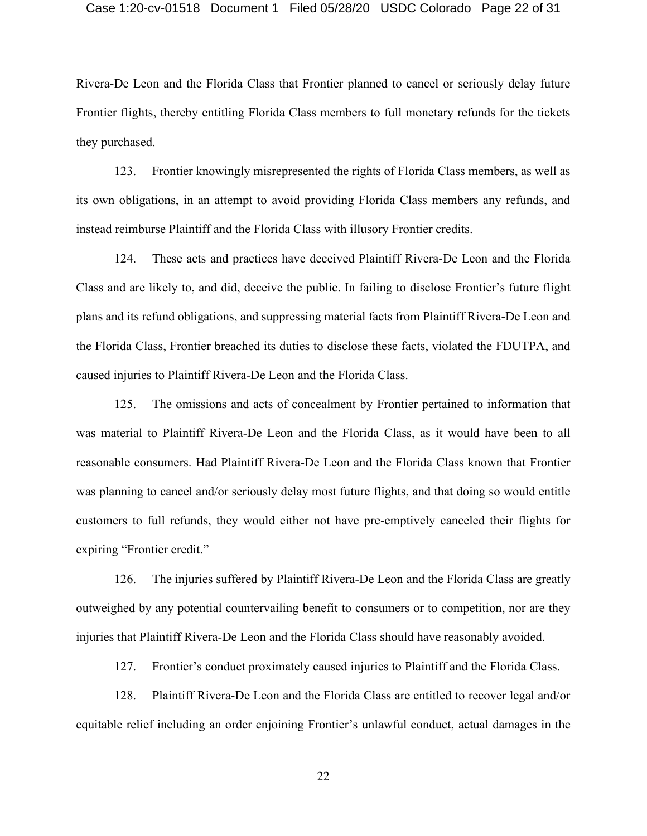#### Case 1:20-cv-01518 Document 1 Filed 05/28/20 USDC Colorado Page 22 of 31

Rivera-De Leon and the Florida Class that Frontier planned to cancel or seriously delay future Frontier flights, thereby entitling Florida Class members to full monetary refunds for the tickets they purchased.

123. Frontier knowingly misrepresented the rights of Florida Class members, as well as its own obligations, in an attempt to avoid providing Florida Class members any refunds, and instead reimburse Plaintiff and the Florida Class with illusory Frontier credits.

124. These acts and practices have deceived Plaintiff Rivera-De Leon and the Florida Class and are likely to, and did, deceive the public. In failing to disclose Frontier's future flight plans and its refund obligations, and suppressing material facts from Plaintiff Rivera-De Leon and the Florida Class, Frontier breached its duties to disclose these facts, violated the FDUTPA, and caused injuries to Plaintiff Rivera-De Leon and the Florida Class.

125. The omissions and acts of concealment by Frontier pertained to information that was material to Plaintiff Rivera-De Leon and the Florida Class, as it would have been to all reasonable consumers. Had Plaintiff Rivera-De Leon and the Florida Class known that Frontier was planning to cancel and/or seriously delay most future flights, and that doing so would entitle customers to full refunds, they would either not have pre-emptively canceled their flights for expiring "Frontier credit."

126. The injuries suffered by Plaintiff Rivera-De Leon and the Florida Class are greatly outweighed by any potential countervailing benefit to consumers or to competition, nor are they injuries that Plaintiff Rivera-De Leon and the Florida Class should have reasonably avoided.

127. Frontier's conduct proximately caused injuries to Plaintiff and the Florida Class.

128. Plaintiff Rivera-De Leon and the Florida Class are entitled to recover legal and/or equitable relief including an order enjoining Frontier's unlawful conduct, actual damages in the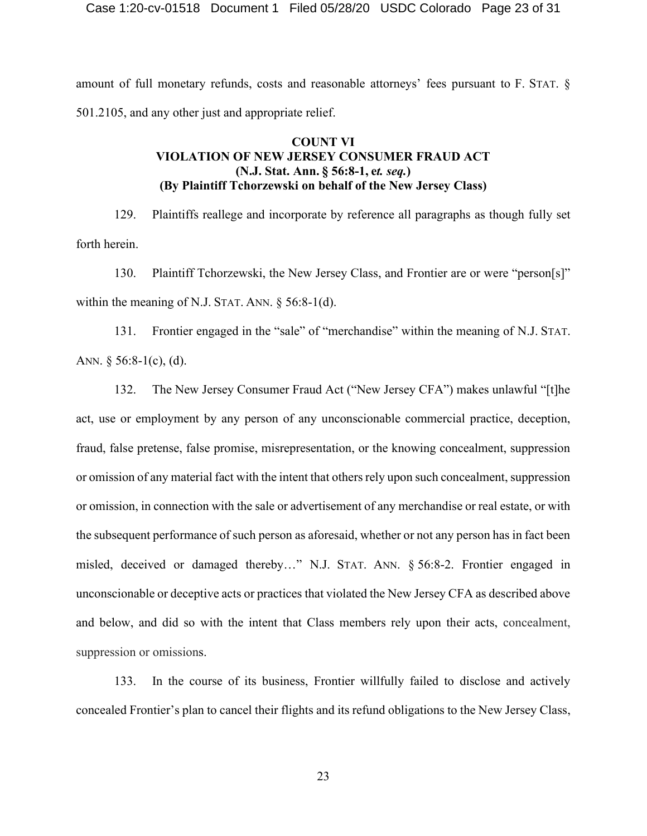amount of full monetary refunds, costs and reasonable attorneys' fees pursuant to F. STAT. § 501.2105, and any other just and appropriate relief.

## **COUNT VI VIOLATION OF NEW JERSEY CONSUMER FRAUD ACT (N.J. Stat. Ann. § 56:8-1, e***t. seq.***) (By Plaintiff Tchorzewski on behalf of the New Jersey Class)**

129. Plaintiffs reallege and incorporate by reference all paragraphs as though fully set forth herein.

130. Plaintiff Tchorzewski, the New Jersey Class, and Frontier are or were "person[s]" within the meaning of N.J. STAT. ANN. § 56:8-1(d).

131. Frontier engaged in the "sale" of "merchandise" within the meaning of N.J. STAT. ANN.  $\S 56:8-1(c)$ , (d).

132. The New Jersey Consumer Fraud Act ("New Jersey CFA") makes unlawful "[t]he act, use or employment by any person of any unconscionable commercial practice, deception, fraud, false pretense, false promise, misrepresentation, or the knowing concealment, suppression or omission of any material fact with the intent that others rely upon such concealment, suppression or omission, in connection with the sale or advertisement of any merchandise or real estate, or with the subsequent performance of such person as aforesaid, whether or not any person has in fact been misled, deceived or damaged thereby…" N.J. STAT. ANN. § 56:8-2. Frontier engaged in unconscionable or deceptive acts or practices that violated the New Jersey CFA as described above and below, and did so with the intent that Class members rely upon their acts, concealment, suppression or omissions.

133. In the course of its business, Frontier willfully failed to disclose and actively concealed Frontier's plan to cancel their flights and its refund obligations to the New Jersey Class,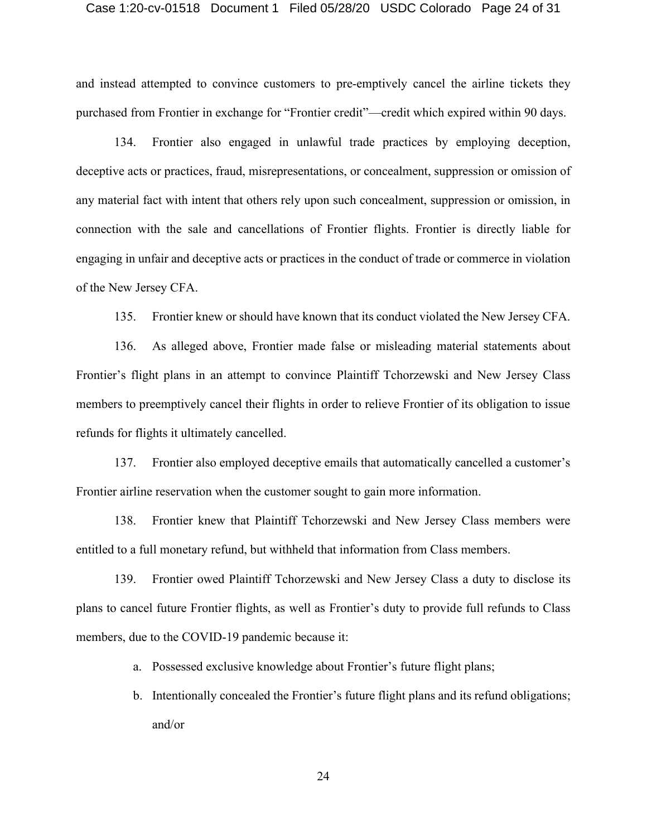#### Case 1:20-cv-01518 Document 1 Filed 05/28/20 USDC Colorado Page 24 of 31

and instead attempted to convince customers to pre-emptively cancel the airline tickets they purchased from Frontier in exchange for "Frontier credit"—credit which expired within 90 days.

134. Frontier also engaged in unlawful trade practices by employing deception, deceptive acts or practices, fraud, misrepresentations, or concealment, suppression or omission of any material fact with intent that others rely upon such concealment, suppression or omission, in connection with the sale and cancellations of Frontier flights. Frontier is directly liable for engaging in unfair and deceptive acts or practices in the conduct of trade or commerce in violation of the New Jersey CFA.

135. Frontier knew or should have known that its conduct violated the New Jersey CFA.

136. As alleged above, Frontier made false or misleading material statements about Frontier's flight plans in an attempt to convince Plaintiff Tchorzewski and New Jersey Class members to preemptively cancel their flights in order to relieve Frontier of its obligation to issue refunds for flights it ultimately cancelled.

137. Frontier also employed deceptive emails that automatically cancelled a customer's Frontier airline reservation when the customer sought to gain more information.

138. Frontier knew that Plaintiff Tchorzewski and New Jersey Class members were entitled to a full monetary refund, but withheld that information from Class members.

139. Frontier owed Plaintiff Tchorzewski and New Jersey Class a duty to disclose its plans to cancel future Frontier flights, as well as Frontier's duty to provide full refunds to Class members, due to the COVID-19 pandemic because it:

a. Possessed exclusive knowledge about Frontier's future flight plans;

b. Intentionally concealed the Frontier's future flight plans and its refund obligations; and/or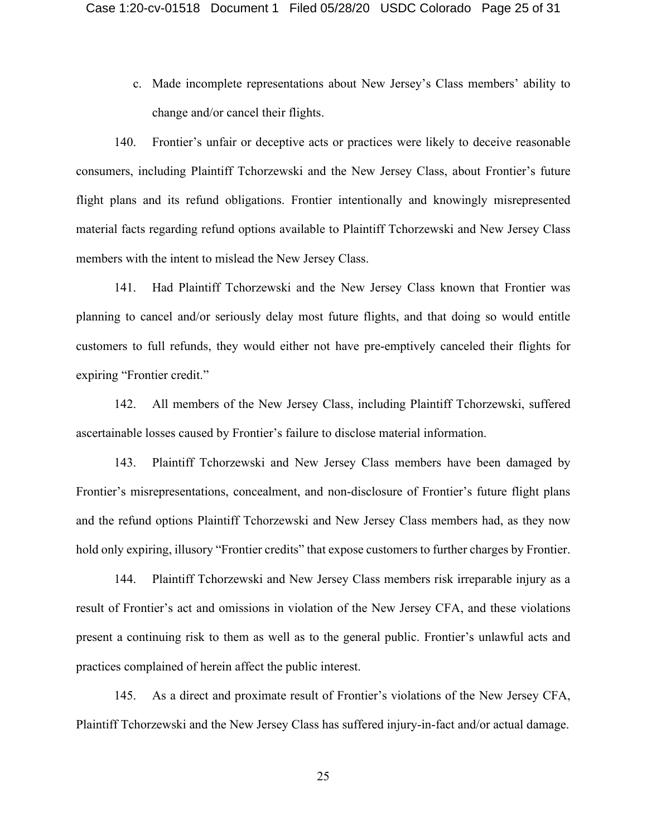c. Made incomplete representations about New Jersey's Class members' ability to change and/or cancel their flights.

140. Frontier's unfair or deceptive acts or practices were likely to deceive reasonable consumers, including Plaintiff Tchorzewski and the New Jersey Class, about Frontier's future flight plans and its refund obligations. Frontier intentionally and knowingly misrepresented material facts regarding refund options available to Plaintiff Tchorzewski and New Jersey Class members with the intent to mislead the New Jersey Class.

141. Had Plaintiff Tchorzewski and the New Jersey Class known that Frontier was planning to cancel and/or seriously delay most future flights, and that doing so would entitle customers to full refunds, they would either not have pre-emptively canceled their flights for expiring "Frontier credit."

142. All members of the New Jersey Class, including Plaintiff Tchorzewski, suffered ascertainable losses caused by Frontier's failure to disclose material information.

143. Plaintiff Tchorzewski and New Jersey Class members have been damaged by Frontier's misrepresentations, concealment, and non-disclosure of Frontier's future flight plans and the refund options Plaintiff Tchorzewski and New Jersey Class members had, as they now hold only expiring, illusory "Frontier credits" that expose customers to further charges by Frontier.

144. Plaintiff Tchorzewski and New Jersey Class members risk irreparable injury as a result of Frontier's act and omissions in violation of the New Jersey CFA, and these violations present a continuing risk to them as well as to the general public. Frontier's unlawful acts and practices complained of herein affect the public interest.

145. As a direct and proximate result of Frontier's violations of the New Jersey CFA, Plaintiff Tchorzewski and the New Jersey Class has suffered injury-in-fact and/or actual damage.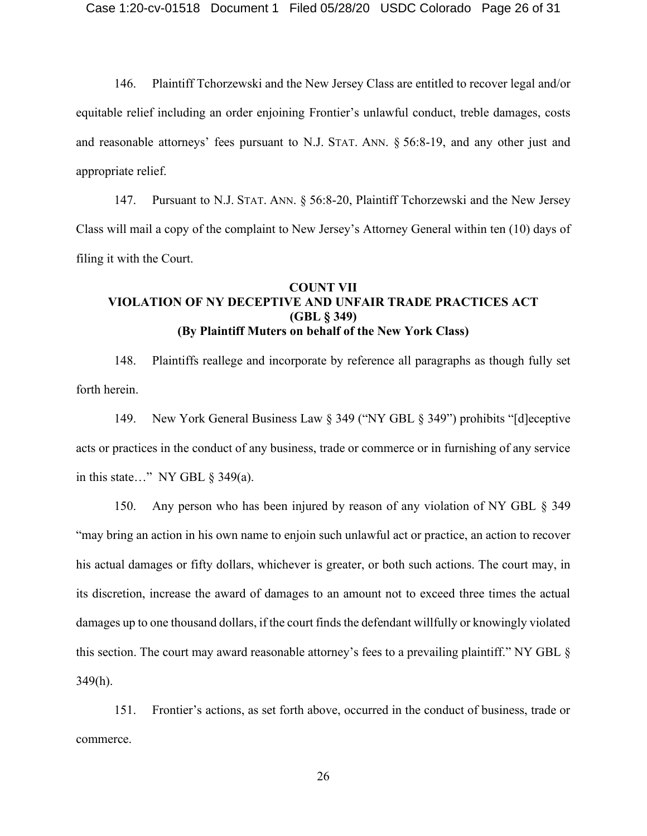146. Plaintiff Tchorzewski and the New Jersey Class are entitled to recover legal and/or equitable relief including an order enjoining Frontier's unlawful conduct, treble damages, costs and reasonable attorneys' fees pursuant to N.J. STAT. ANN. § 56:8-19, and any other just and appropriate relief.

147. Pursuant to N.J. STAT. ANN. § 56:8-20, Plaintiff Tchorzewski and the New Jersey Class will mail a copy of the complaint to New Jersey's Attorney General within ten (10) days of filing it with the Court.

## **COUNT VII VIOLATION OF NY DECEPTIVE AND UNFAIR TRADE PRACTICES ACT (GBL § 349) (By Plaintiff Muters on behalf of the New York Class)**

148. Plaintiffs reallege and incorporate by reference all paragraphs as though fully set forth herein.

149. New York General Business Law § 349 ("NY GBL § 349") prohibits "[d]eceptive acts or practices in the conduct of any business, trade or commerce or in furnishing of any service in this state…" NY GBL  $\S$  349(a).

150. Any person who has been injured by reason of any violation of NY GBL § 349 "may bring an action in his own name to enjoin such unlawful act or practice, an action to recover his actual damages or fifty dollars, whichever is greater, or both such actions. The court may, in its discretion, increase the award of damages to an amount not to exceed three times the actual damages up to one thousand dollars, if the court finds the defendant willfully or knowingly violated this section. The court may award reasonable attorney's fees to a prevailing plaintiff." NY GBL § 349(h).

151. Frontier's actions, as set forth above, occurred in the conduct of business, trade or commerce.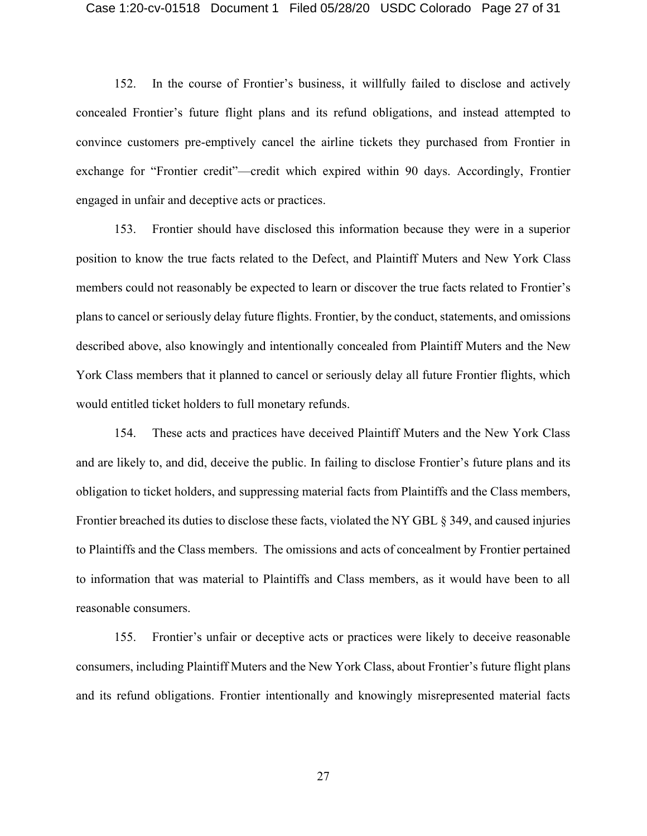#### Case 1:20-cv-01518 Document 1 Filed 05/28/20 USDC Colorado Page 27 of 31

152. In the course of Frontier's business, it willfully failed to disclose and actively concealed Frontier's future flight plans and its refund obligations, and instead attempted to convince customers pre-emptively cancel the airline tickets they purchased from Frontier in exchange for "Frontier credit"—credit which expired within 90 days. Accordingly, Frontier engaged in unfair and deceptive acts or practices.

153. Frontier should have disclosed this information because they were in a superior position to know the true facts related to the Defect, and Plaintiff Muters and New York Class members could not reasonably be expected to learn or discover the true facts related to Frontier's plans to cancel or seriously delay future flights. Frontier, by the conduct, statements, and omissions described above, also knowingly and intentionally concealed from Plaintiff Muters and the New York Class members that it planned to cancel or seriously delay all future Frontier flights, which would entitled ticket holders to full monetary refunds.

154. These acts and practices have deceived Plaintiff Muters and the New York Class and are likely to, and did, deceive the public. In failing to disclose Frontier's future plans and its obligation to ticket holders, and suppressing material facts from Plaintiffs and the Class members, Frontier breached its duties to disclose these facts, violated the NY GBL § 349, and caused injuries to Plaintiffs and the Class members. The omissions and acts of concealment by Frontier pertained to information that was material to Plaintiffs and Class members, as it would have been to all reasonable consumers.

155. Frontier's unfair or deceptive acts or practices were likely to deceive reasonable consumers, including Plaintiff Muters and the New York Class, about Frontier's future flight plans and its refund obligations. Frontier intentionally and knowingly misrepresented material facts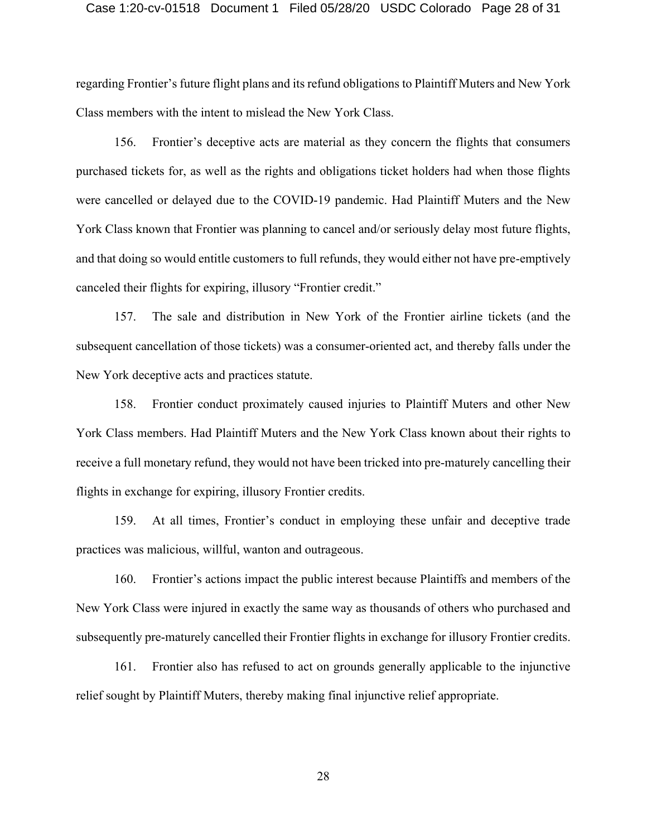#### Case 1:20-cv-01518 Document 1 Filed 05/28/20 USDC Colorado Page 28 of 31

regarding Frontier's future flight plans and its refund obligations to Plaintiff Muters and New York Class members with the intent to mislead the New York Class.

156. Frontier's deceptive acts are material as they concern the flights that consumers purchased tickets for, as well as the rights and obligations ticket holders had when those flights were cancelled or delayed due to the COVID-19 pandemic. Had Plaintiff Muters and the New York Class known that Frontier was planning to cancel and/or seriously delay most future flights, and that doing so would entitle customers to full refunds, they would either not have pre-emptively canceled their flights for expiring, illusory "Frontier credit."

157. The sale and distribution in New York of the Frontier airline tickets (and the subsequent cancellation of those tickets) was a consumer-oriented act, and thereby falls under the New York deceptive acts and practices statute.

158. Frontier conduct proximately caused injuries to Plaintiff Muters and other New York Class members. Had Plaintiff Muters and the New York Class known about their rights to receive a full monetary refund, they would not have been tricked into pre-maturely cancelling their flights in exchange for expiring, illusory Frontier credits.

159. At all times, Frontier's conduct in employing these unfair and deceptive trade practices was malicious, willful, wanton and outrageous.

160. Frontier's actions impact the public interest because Plaintiffs and members of the New York Class were injured in exactly the same way as thousands of others who purchased and subsequently pre-maturely cancelled their Frontier flights in exchange for illusory Frontier credits.

161. Frontier also has refused to act on grounds generally applicable to the injunctive relief sought by Plaintiff Muters, thereby making final injunctive relief appropriate.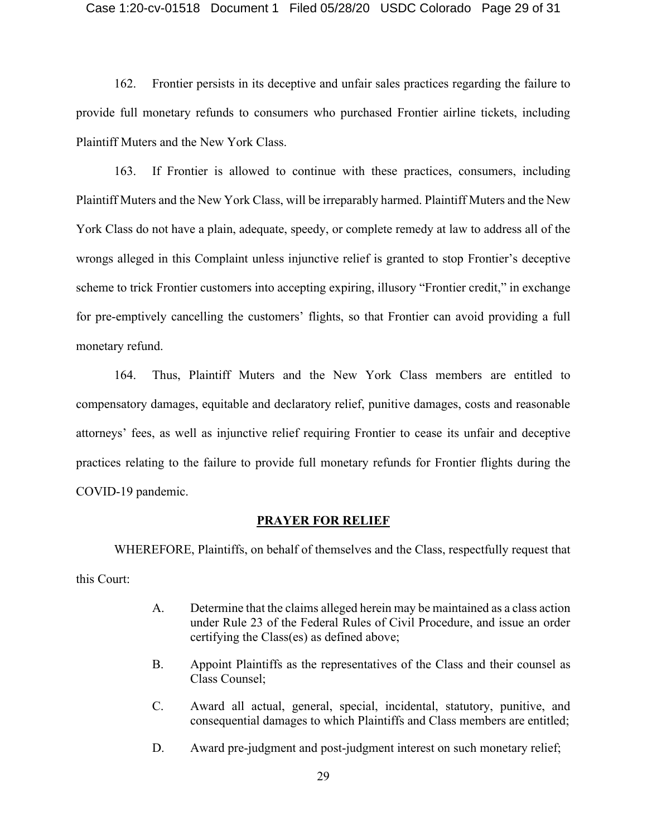#### Case 1:20-cv-01518 Document 1 Filed 05/28/20 USDC Colorado Page 29 of 31

162. Frontier persists in its deceptive and unfair sales practices regarding the failure to provide full monetary refunds to consumers who purchased Frontier airline tickets, including Plaintiff Muters and the New York Class.

163. If Frontier is allowed to continue with these practices, consumers, including Plaintiff Muters and the New York Class, will be irreparably harmed. Plaintiff Muters and the New York Class do not have a plain, adequate, speedy, or complete remedy at law to address all of the wrongs alleged in this Complaint unless injunctive relief is granted to stop Frontier's deceptive scheme to trick Frontier customers into accepting expiring, illusory "Frontier credit," in exchange for pre-emptively cancelling the customers' flights, so that Frontier can avoid providing a full monetary refund.

164. Thus, Plaintiff Muters and the New York Class members are entitled to compensatory damages, equitable and declaratory relief, punitive damages, costs and reasonable attorneys' fees, as well as injunctive relief requiring Frontier to cease its unfair and deceptive practices relating to the failure to provide full monetary refunds for Frontier flights during the COVID-19 pandemic.

#### **PRAYER FOR RELIEF**

WHEREFORE, Plaintiffs, on behalf of themselves and the Class, respectfully request that this Court:

- A. Determine that the claims alleged herein may be maintained as a class action under Rule 23 of the Federal Rules of Civil Procedure, and issue an order certifying the Class(es) as defined above;
- B. Appoint Plaintiffs as the representatives of the Class and their counsel as Class Counsel;
- C. Award all actual, general, special, incidental, statutory, punitive, and consequential damages to which Plaintiffs and Class members are entitled;
- D. Award pre-judgment and post-judgment interest on such monetary relief;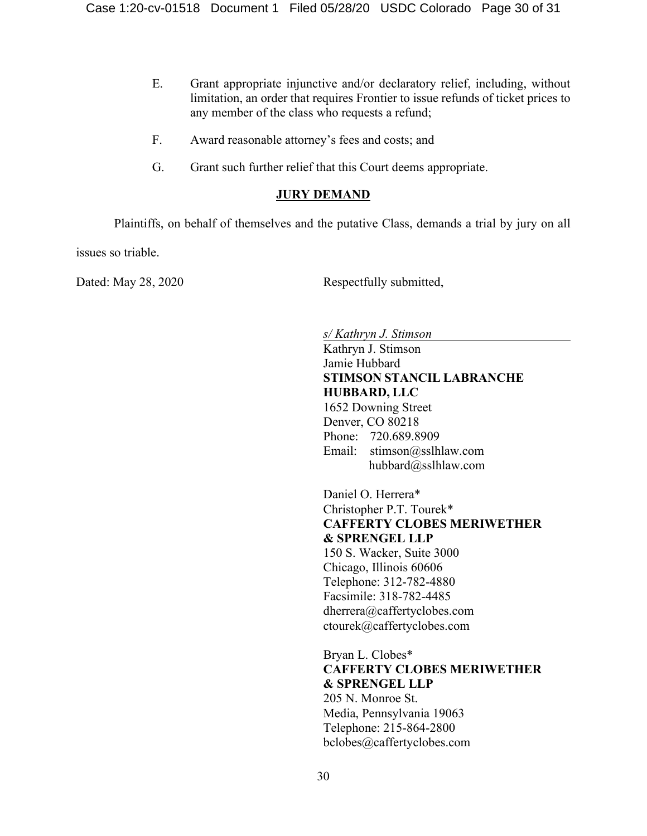- E. Grant appropriate injunctive and/or declaratory relief, including, without limitation, an order that requires Frontier to issue refunds of ticket prices to any member of the class who requests a refund;
- F. Award reasonable attorney's fees and costs; and
- G. Grant such further relief that this Court deems appropriate.

# **JURY DEMAND**

Plaintiffs, on behalf of themselves and the putative Class, demands a trial by jury on all

issues so triable.

Dated: May 28, 2020 Respectfully submitted,

*s/ Kathryn J. Stimson* 

Kathryn J. Stimson Jamie Hubbard **STIMSON STANCIL LABRANCHE HUBBARD, LLC** 1652 Downing Street Denver, CO 80218 Phone: 720.689.8909 Email: stimson@sslhlaw.com hubbard@sslhlaw.com

Daniel O. Herrera\* Christopher P.T. Tourek\* **CAFFERTY CLOBES MERIWETHER & SPRENGEL LLP** 150 S. Wacker, Suite 3000 Chicago, Illinois 60606 Telephone: 312-782-4880 Facsimile: 318-782-4485 dherrera@caffertyclobes.com ctourek@caffertyclobes.com Bryan L. Clobes\*

**CAFFERTY CLOBES MERIWETHER & SPRENGEL LLP** 205 N. Monroe St. Media, Pennsylvania 19063 Telephone: 215-864-2800 bclobes@caffertyclobes.com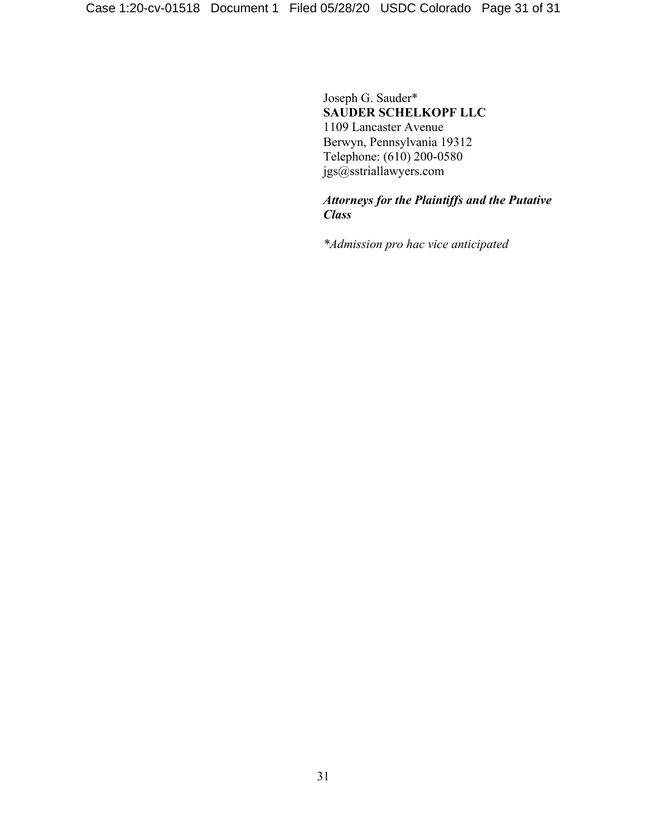Joseph G. Sauder\* **SAUDER SCHELKOPF LLC** 1109 Lancaster Avenue Berwyn, Pennsylvania 19312 Telephone: (610) 200-0580 jgs@sstriallawyers.com

# *Attorneys for the Plaintiffs and the Putative Class*

*\*Admission pro hac vice anticipated*